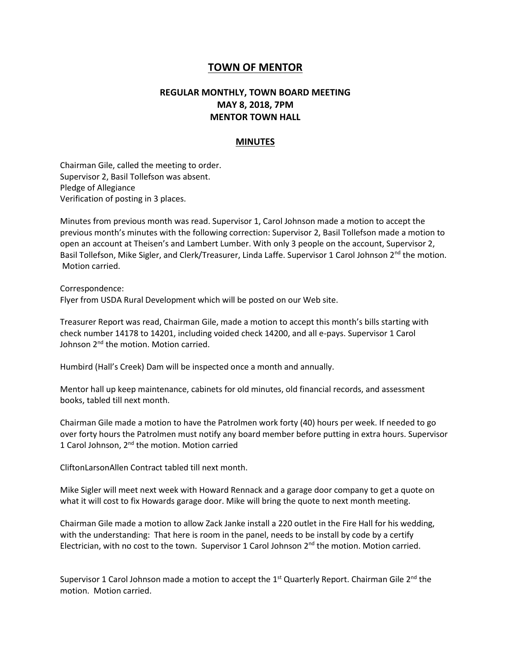## **TOWN OF MENTOR**

## **REGULAR MONTHLY, TOWN BOARD MEETING MAY 8, 2018, 7PM MENTOR TOWN HALL**

## **MINUTES**

Chairman Gile, called the meeting to order. Supervisor 2, Basil Tollefson was absent. Pledge of Allegiance Verification of posting in 3 places.

Minutes from previous month was read. Supervisor 1, Carol Johnson made a motion to accept the previous month's minutes with the following correction: Supervisor 2, Basil Tollefson made a motion to open an account at Theisen's and Lambert Lumber. With only 3 people on the account, Supervisor 2, Basil Tollefson, Mike Sigler, and Clerk/Treasurer, Linda Laffe. Supervisor 1 Carol Johnson 2<sup>nd</sup> the motion. Motion carried.

Correspondence: Flyer from USDA Rural Development which will be posted on our Web site.

Treasurer Report was read, Chairman Gile, made a motion to accept this month's bills starting with check number 14178 to 14201, including voided check 14200, and all e-pays. Supervisor 1 Carol Johnson 2<sup>nd</sup> the motion. Motion carried.

Humbird (Hall's Creek) Dam will be inspected once a month and annually.

Mentor hall up keep maintenance, cabinets for old minutes, old financial records, and assessment books, tabled till next month.

Chairman Gile made a motion to have the Patrolmen work forty (40) hours per week. If needed to go over forty hours the Patrolmen must notify any board member before putting in extra hours. Supervisor 1 Carol Johnson, 2<sup>nd</sup> the motion. Motion carried

CliftonLarsonAllen Contract tabled till next month.

Mike Sigler will meet next week with Howard Rennack and a garage door company to get a quote on what it will cost to fix Howards garage door. Mike will bring the quote to next month meeting.

Chairman Gile made a motion to allow Zack Janke install a 220 outlet in the Fire Hall for his wedding, with the understanding: That here is room in the panel, needs to be install by code by a certify Electrician, with no cost to the town. Supervisor 1 Carol Johnson  $2^{nd}$  the motion. Motion carried.

Supervisor 1 Carol Johnson made a motion to accept the  $1<sup>st</sup>$  Quarterly Report. Chairman Gile  $2<sup>nd</sup>$  the motion. Motion carried.